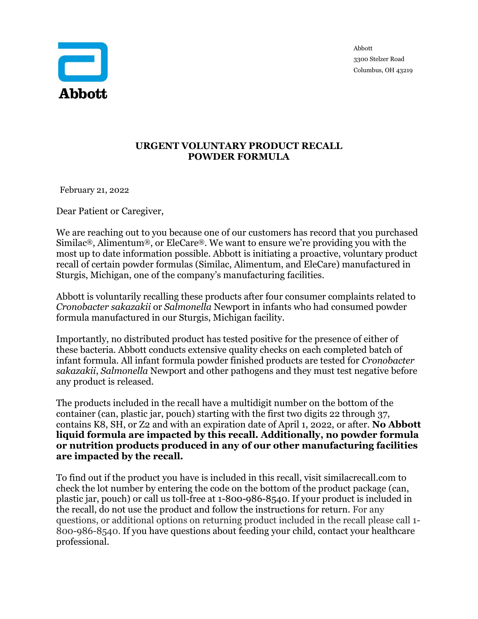

3300 Stelzer Road Columbus, OH 43219

## **URGENT VOLUNTARY PRODUCT RECALL POWDER FORMULA**

February 21, 2022

Dear Patient or Caregiver,

We are reaching out to you because one of our customers has record that you purchased Similac<sup>®</sup>, Alimentum<sup>®</sup>, or EleCare<sup>®</sup>. We want to ensure we're providing you with the most up to date information possible. Abbott is initiating a proactive, voluntary product recall of certain powder formulas (Similac, Alimentum, and EleCare) manufactured in Sturgis, Michigan, one of the company's manufacturing facilities.

Abbott is voluntarily recalling these products after four consumer complaints related to *Cronobacter sakazakii* or *Salmonella* Newport in infants who had consumed powder formula manufactured in our Sturgis, Michigan facility.

Importantly, no distributed product has tested positive for the presence of either of these bacteria. Abbott conducts extensive quality checks on each completed batch of infant formula. All infant formula powder finished products are tested for *Cronobacter sakazakii*, *Salmonella* Newport and other pathogens and they must test negative before any product is released.

The products included in the recall have a multidigit number on the bottom of the container (can, plastic jar, pouch) starting with the first two digits 22 through 37, contains K8, SH, or Z2 and with an expiration date of April 1, 2022, or after. **No Abbott liquid formula are impacted by this recall. Additionally, no powder formula or nutrition products produced in any of our other manufacturing facilities are impacted by the recall.**

To find out if the product you have is included in this recall, visit similacrecall.com to check the lot number by entering the code on the bottom of the product package (can, plastic jar, pouch) or call us toll-free at 1-800-986-8540. If your product is included in the recall, do not use the product and follow the instructions for return. For any questions, or additional options on returning product included in the recall please call 1- 800-986-8540. If you have questions about feeding your child, contact your healthcare professional.